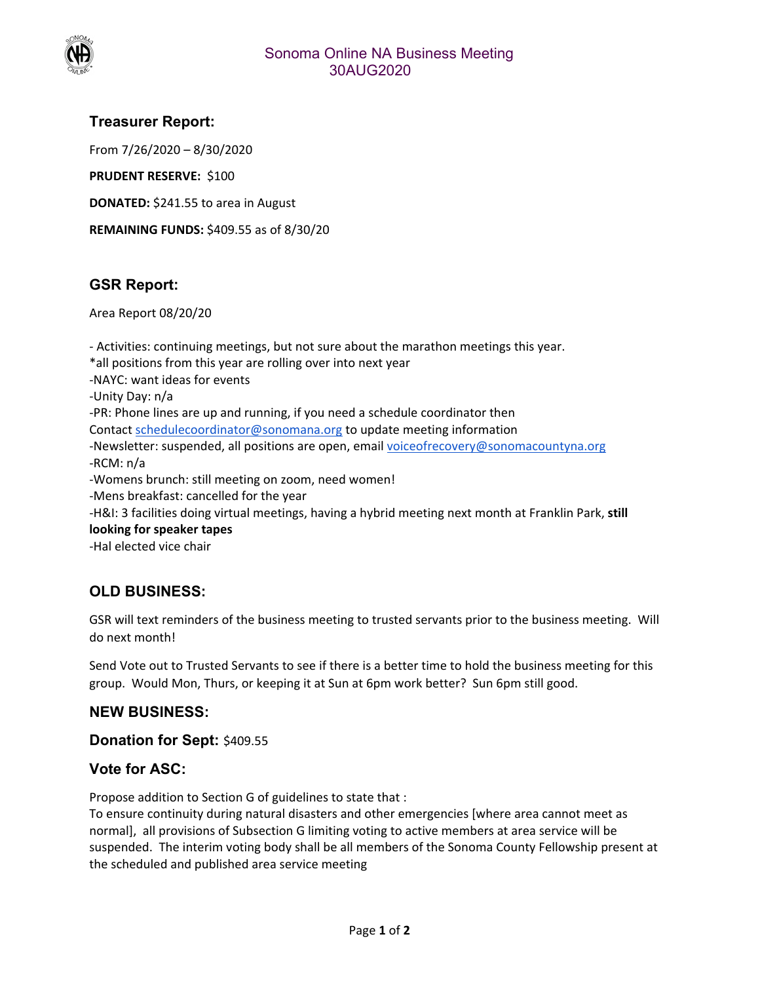

## **Treasurer Report:**

From 7/26/2020 – 8/30/2020

**PRUDENT RESERVE: \$100** 

**DONATED:** \$241.55 to area in August

**REMAINING FUNDS:** \$409.55 as of 8/30/20

# **GSR Report:**

Area Report 08/20/20

‐ Activities: continuing meetings, but not sure about the marathon meetings this year. \*all positions from this year are rolling over into next year ‐NAYC: want ideas for events ‐Unity Day: n/a ‐PR: Phone lines are up and running, if you need a schedule coordinator then Contact schedulecoordinator@sonomana.org to update meeting information ‐Newsletter: suspended, all positions are open, email voiceofrecovery@sonomacountyna.org ‐RCM: n/a ‐Womens brunch: still meeting on zoom, need women! ‐Mens breakfast: cancelled for the year ‐H&I: 3 facilities doing virtual meetings, having a hybrid meeting next month at Franklin Park, **still looking for speaker tapes** ‐Hal elected vice chair

# **OLD BUSINESS:**

GSR will text reminders of the business meeting to trusted servants prior to the business meeting. Will do next month!

Send Vote out to Trusted Servants to see if there is a better time to hold the business meeting for this group. Would Mon, Thurs, or keeping it at Sun at 6pm work better? Sun 6pm still good.

### **NEW BUSINESS:**

**Donation for Sept:** \$409.55

### **Vote for ASC:**

Propose addition to Section G of guidelines to state that :

To ensure continuity during natural disasters and other emergencies [where area cannot meet as normal], all provisions of Subsection G limiting voting to active members at area service will be suspended. The interim voting body shall be all members of the Sonoma County Fellowship present at the scheduled and published area service meeting